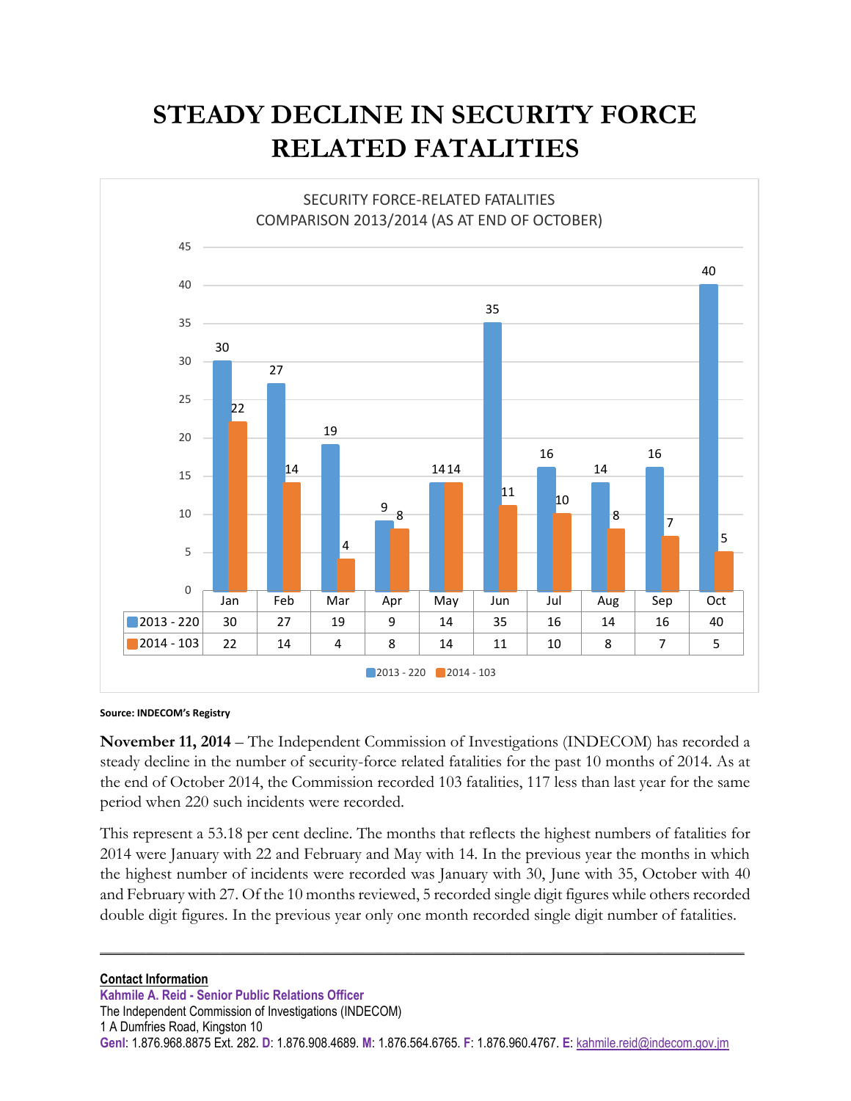## **STEADY DECLINE IN SECURITY FORCE RELATED FATALITIES**



**Source: INDECOM's Registry** 

**November 11, 2014** – The Independent Commission of Investigations (INDECOM) has recorded a steady decline in the number of security-force related fatalities for the past 10 months of 2014. As at the end of October 2014, the Commission recorded 103 fatalities, 117 less than last year for the same period when 220 such incidents were recorded.

This represent a 53.18 per cent decline. The months that reflects the highest numbers of fatalities for 2014 were January with 22 and February and May with 14. In the previous year the months in which the highest number of incidents were recorded was January with 30, June with 35, October with 40 and February with 27. Of the 10 months reviewed, 5 recorded single digit figures while others recorded double digit figures. In the previous year only one month recorded single digit number of fatalities.

**\_\_\_\_\_\_\_\_\_\_\_\_\_\_\_\_\_\_\_\_\_\_\_\_\_\_\_\_\_\_\_\_\_\_\_\_\_\_\_\_\_\_\_\_\_\_\_\_\_\_\_\_\_\_\_\_\_\_\_\_\_\_\_\_\_\_\_\_\_\_\_\_\_\_\_\_\_\_\_\_\_\_\_\_\_\_\_\_\_\_\_\_\_\_\_\_\_\_\_\_\_\_\_\_\_\_\_\_\_\_\_\_\_**